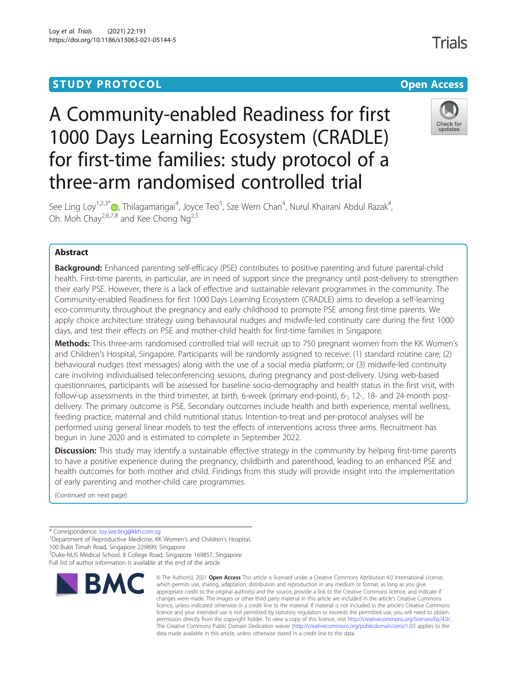## **STUDY PROTOCOL CONSUMING THE CONSUMING OPEN ACCESS**

# Check for updates

See Ling Loy<sup>1,2,3\*</sup>�, Thilagamangai<sup>4</sup>, Joyce Teo<sup>5</sup>, Sze Wern Chan<sup>4</sup>, Nurul Khairani Abdul Razak<sup>4</sup> , Oh. Moh Chav<sup>2,6,7,8</sup> and Kee Chong Ng<sup>2,5</sup>

A Community-enabled Readiness for first

1000 Days Learning Ecosystem (CRADLE)

for first-time families: study protocol of a

three-arm randomised controlled trial

### Abstract

**Background:** Enhanced parenting self-efficacy (PSE) contributes to positive parenting and future parental-child health. First-time parents, in particular, are in need of support since the pregnancy until post-delivery to strengthen their early PSE. However, there is a lack of effective and sustainable relevant programmes in the community. The Community-enabled Readiness for first 1000 Days Learning Ecosystem (CRADLE) aims to develop a self-learning eco-community throughout the pregnancy and early childhood to promote PSE among first-time parents. We apply choice architecture strategy using behavioural nudges and midwife-led continuity care during the first 1000 days, and test their effects on PSE and mother-child health for first-time families in Singapore.

Methods: This three-arm randomised controlled trial will recruit up to 750 pregnant women from the KK Women's and Children's Hospital, Singapore. Participants will be randomly assigned to receive: (1) standard routine care; (2) behavioural nudges (text messages) along with the use of a social media platform; or (3) midwife-led continuity care involving individualised teleconferencing sessions, during pregnancy and post-delivery. Using web-based questionnaires, participants will be assessed for baseline socio-demography and health status in the first visit, with follow-up assessments in the third trimester, at birth, 6-week (primary end-point), 6-, 12-, 18- and 24-month postdelivery. The primary outcome is PSE. Secondary outcomes include health and birth experience, mental wellness, feeding practice, maternal and child nutritional status. Intention-to-treat and per-protocol analyses will be performed using general linear models to test the effects of interventions across three arms. Recruitment has begun in June 2020 and is estimated to complete in September 2022.

Discussion: This study may identify a sustainable effective strategy in the community by helping first-time parents to have a positive experience during the pregnancy, childbirth and parenthood, leading to an enhanced PSE and health outcomes for both mother and child. Findings from this study will provide insight into the implementation of early parenting and mother-child care programmes.

(Continued on next page)

\* Correspondence: [loy.see.ling@kkh.com.sg](mailto:loy.see.ling@kkh.com.sg) <sup>1</sup>

100 Bukit Timah Road, Singapore 229899, Singapore

2 Duke-NUS Medical School, 8 College Road, Singapore 169857, Singapore Full list of author information is available at the end of the article



<sup>©</sup> The Author(s), 2021 **Open Access** This article is licensed under a Creative Commons Attribution 4.0 International License, which permits use, sharing, adaptation, distribution and reproduction in any medium or format, as long as you give appropriate credit to the original author(s) and the source, provide a link to the Creative Commons licence, and indicate if changes were made. The images or other third party material in this article are included in the article's Creative Commons licence, unless indicated otherwise in a credit line to the material. If material is not included in the article's Creative Commons licence and your intended use is not permitted by statutory regulation or exceeds the permitted use, you will need to obtain permission directly from the copyright holder. To view a copy of this licence, visit [http://creativecommons.org/licenses/by/4.0/.](http://creativecommons.org/licenses/by/4.0/) The Creative Commons Public Domain Dedication waiver [\(http://creativecommons.org/publicdomain/zero/1.0/](http://creativecommons.org/publicdomain/zero/1.0/)) applies to the data made available in this article, unless otherwise stated in a credit line to the data.

<sup>&</sup>lt;sup>1</sup>Department of Reproductive Medicine, KK Women's and Children's Hospital,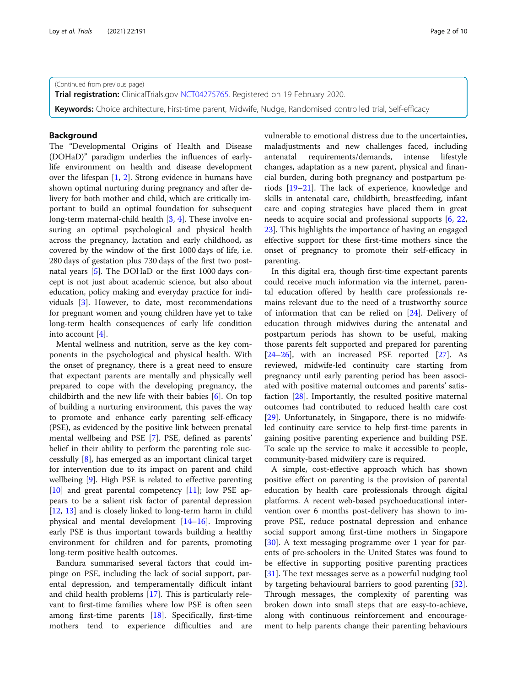(Continued from previous page)

**Trial registration:** ClinicalTrials.gov [NCT04275765](https://clinicaltrials.gov/ct2/show/NCT04275765?term=NCT+04275765&draw=2&rank=1). Registered on 19 February 2020.

Keywords: Choice architecture, First-time parent, Midwife, Nudge, Randomised controlled trial, Self-efficacy

#### Background

The "Developmental Origins of Health and Disease (DOHaD)" paradigm underlies the influences of earlylife environment on health and disease development over the lifespan [[1,](#page-8-0) [2](#page-8-0)]. Strong evidence in humans have shown optimal nurturing during pregnancy and after delivery for both mother and child, which are critically important to build an optimal foundation for subsequent long-term maternal-child health [[3](#page-8-0), [4](#page-8-0)]. These involve ensuring an optimal psychological and physical health across the pregnancy, lactation and early childhood, as covered by the window of the first 1000 days of life, i.e. 280 days of gestation plus 730 days of the first two postnatal years [[5\]](#page-8-0). The DOHaD or the first 1000 days concept is not just about academic science, but also about education, policy making and everyday practice for individuals [[3](#page-8-0)]. However, to date, most recommendations for pregnant women and young children have yet to take long-term health consequences of early life condition into account [\[4](#page-8-0)].

Mental wellness and nutrition, serve as the key components in the psychological and physical health. With the onset of pregnancy, there is a great need to ensure that expectant parents are mentally and physically well prepared to cope with the developing pregnancy, the childbirth and the new life with their babies [[6\]](#page-8-0). On top of building a nurturing environment, this paves the way to promote and enhance early parenting self-efficacy (PSE), as evidenced by the positive link between prenatal mental wellbeing and PSE [[7\]](#page-8-0). PSE, defined as parents' belief in their ability to perform the parenting role successfully [\[8](#page-8-0)], has emerged as an important clinical target for intervention due to its impact on parent and child wellbeing [\[9](#page-8-0)]. High PSE is related to effective parenting [[10\]](#page-8-0) and great parental competency [\[11](#page-8-0)]; low PSE appears to be a salient risk factor of parental depression [[12,](#page-8-0) [13\]](#page-8-0) and is closely linked to long-term harm in child physical and mental development [\[14](#page-8-0)–[16\]](#page-8-0). Improving early PSE is thus important towards building a healthy environment for children and for parents, promoting long-term positive health outcomes.

Bandura summarised several factors that could impinge on PSE, including the lack of social support, parental depression, and temperamentally difficult infant and child health problems [\[17\]](#page-8-0). This is particularly relevant to first-time families where low PSE is often seen among first-time parents [\[18](#page-8-0)]. Specifically, first-time mothers tend to experience difficulties and are vulnerable to emotional distress due to the uncertainties, maladjustments and new challenges faced, including antenatal requirements/demands, intense lifestyle changes, adaptation as a new parent, physical and financial burden, during both pregnancy and postpartum periods [\[19](#page-8-0)–[21\]](#page-8-0). The lack of experience, knowledge and skills in antenatal care, childbirth, breastfeeding, infant care and coping strategies have placed them in great needs to acquire social and professional supports [\[6,](#page-8-0) [22](#page-8-0), [23\]](#page-8-0). This highlights the importance of having an engaged effective support for these first-time mothers since the onset of pregnancy to promote their self-efficacy in parenting.

In this digital era, though first-time expectant parents could receive much information via the internet, parental education offered by health care professionals remains relevant due to the need of a trustworthy source of information that can be relied on [[24\]](#page-9-0). Delivery of education through midwives during the antenatal and postpartum periods has shown to be useful, making those parents felt supported and prepared for parenting [[24](#page-9-0)–[26](#page-9-0)], with an increased PSE reported [\[27\]](#page-9-0). As reviewed, midwife-led continuity care starting from pregnancy until early parenting period has been associated with positive maternal outcomes and parents' satisfaction [[28\]](#page-9-0). Importantly, the resulted positive maternal outcomes had contributed to reduced health care cost [[29\]](#page-9-0). Unfortunately, in Singapore, there is no midwifeled continuity care service to help first-time parents in gaining positive parenting experience and building PSE. To scale up the service to make it accessible to people, community-based midwifery care is required.

A simple, cost-effective approach which has shown positive effect on parenting is the provision of parental education by health care professionals through digital platforms. A recent web-based psychoeducational intervention over 6 months post-delivery has shown to improve PSE, reduce postnatal depression and enhance social support among first-time mothers in Singapore [[30\]](#page-9-0). A text messaging programme over 1 year for parents of pre-schoolers in the United States was found to be effective in supporting positive parenting practices [[31\]](#page-9-0). The text messages serve as a powerful nudging tool by targeting behavioural barriers to good parenting [\[32](#page-9-0)]. Through messages, the complexity of parenting was broken down into small steps that are easy-to-achieve, along with continuous reinforcement and encouragement to help parents change their parenting behaviours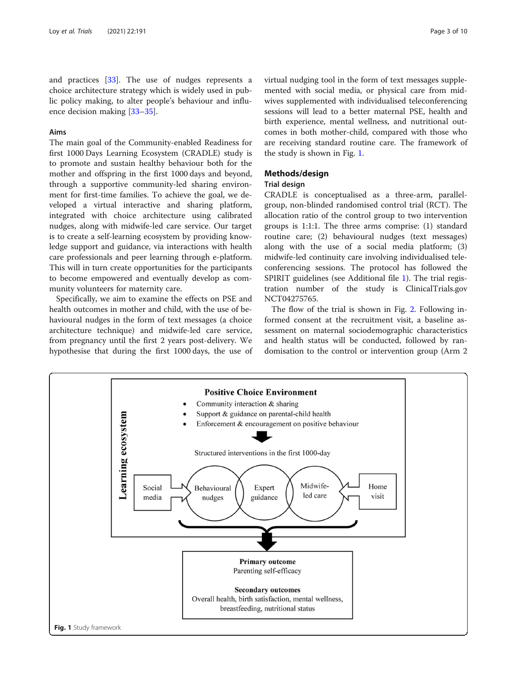and practices [[33\]](#page-9-0). The use of nudges represents a choice architecture strategy which is widely used in public policy making, to alter people's behaviour and influence decision making [[33](#page-9-0)–[35](#page-9-0)].

#### Aims

The main goal of the Community-enabled Readiness for first 1000 Days Learning Ecosystem (CRADLE) study is to promote and sustain healthy behaviour both for the mother and offspring in the first 1000 days and beyond, through a supportive community-led sharing environment for first-time families. To achieve the goal, we developed a virtual interactive and sharing platform, integrated with choice architecture using calibrated nudges, along with midwife-led care service. Our target is to create a self-learning ecosystem by providing knowledge support and guidance, via interactions with health care professionals and peer learning through e-platform. This will in turn create opportunities for the participants to become empowered and eventually develop as community volunteers for maternity care.

Specifically, we aim to examine the effects on PSE and health outcomes in mother and child, with the use of behavioural nudges in the form of text messages (a choice architecture technique) and midwife-led care service, from pregnancy until the first 2 years post-delivery. We hypothesise that during the first 1000 days, the use of virtual nudging tool in the form of text messages supplemented with social media, or physical care from midwives supplemented with individualised teleconferencing sessions will lead to a better maternal PSE, health and birth experience, mental wellness, and nutritional outcomes in both mother-child, compared with those who are receiving standard routine care. The framework of the study is shown in Fig. 1.

#### Methods/design

#### Trial design

CRADLE is conceptualised as a three-arm, parallelgroup, non-blinded randomised control trial (RCT). The allocation ratio of the control group to two intervention groups is 1:1:1. The three arms comprise: (1) standard routine care; (2) behavioural nudges (text messages) along with the use of a social media platform; (3) midwife-led continuity care involving individualised teleconferencing sessions. The protocol has followed the SPIRIT guidelines (see Additional file [1\)](#page-8-0). The trial registration number of the study is ClinicalTrials.gov NCT04275765.

The flow of the trial is shown in Fig. [2](#page-3-0). Following informed consent at the recruitment visit, a baseline assessment on maternal sociodemographic characteristics and health status will be conducted, followed by randomisation to the control or intervention group (Arm 2

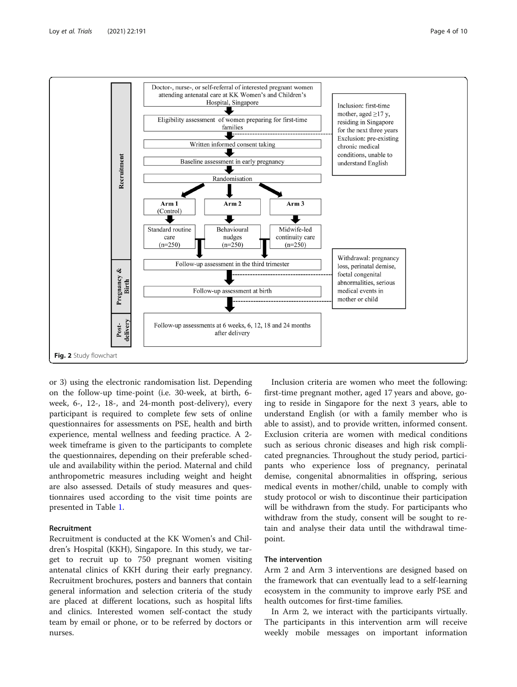<span id="page-3-0"></span>

or 3) using the electronic randomisation list. Depending on the follow-up time-point (i.e. 30-week, at birth, 6 week, 6-, 12-, 18-, and 24-month post-delivery), every participant is required to complete few sets of online questionnaires for assessments on PSE, health and birth experience, mental wellness and feeding practice. A 2 week timeframe is given to the participants to complete the questionnaires, depending on their preferable schedule and availability within the period. Maternal and child anthropometric measures including weight and height are also assessed. Details of study measures and questionnaires used according to the visit time points are presented in Table [1](#page-4-0).

#### Recruitment

Recruitment is conducted at the KK Women's and Children's Hospital (KKH), Singapore. In this study, we target to recruit up to 750 pregnant women visiting antenatal clinics of KKH during their early pregnancy. Recruitment brochures, posters and banners that contain general information and selection criteria of the study are placed at different locations, such as hospital lifts and clinics. Interested women self-contact the study team by email or phone, or to be referred by doctors or nurses.

Inclusion criteria are women who meet the following: first-time pregnant mother, aged 17 years and above, going to reside in Singapore for the next 3 years, able to understand English (or with a family member who is able to assist), and to provide written, informed consent. Exclusion criteria are women with medical conditions such as serious chronic diseases and high risk complicated pregnancies. Throughout the study period, participants who experience loss of pregnancy, perinatal demise, congenital abnormalities in offspring, serious medical events in mother/child, unable to comply with study protocol or wish to discontinue their participation will be withdrawn from the study. For participants who withdraw from the study, consent will be sought to retain and analyse their data until the withdrawal timepoint.

#### The intervention

Arm 2 and Arm 3 interventions are designed based on the framework that can eventually lead to a self-learning ecosystem in the community to improve early PSE and health outcomes for first-time families.

In Arm 2, we interact with the participants virtually. The participants in this intervention arm will receive weekly mobile messages on important information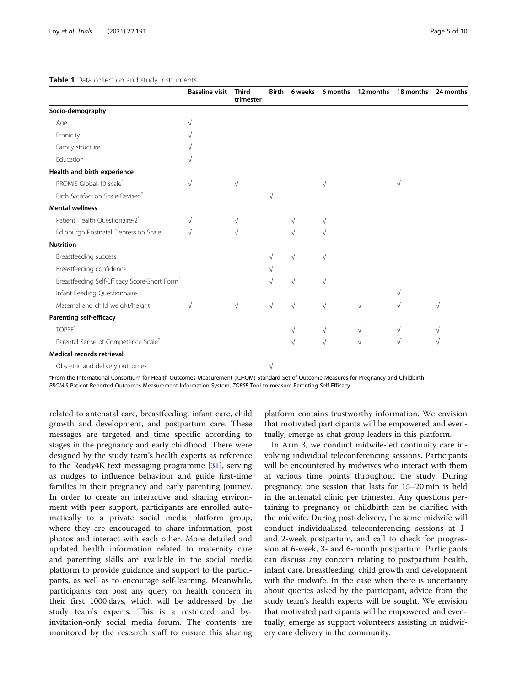|                                                           | <b>Baseline visit</b> | <b>Third</b><br>trimester | <b>Birth</b> | 6 weeks   | 6 months  | 12 months | 18 months | 24 months |
|-----------------------------------------------------------|-----------------------|---------------------------|--------------|-----------|-----------|-----------|-----------|-----------|
| Socio-demography                                          |                       |                           |              |           |           |           |           |           |
| Age                                                       |                       |                           |              |           |           |           |           |           |
| Ethnicity                                                 |                       |                           |              |           |           |           |           |           |
| Family structure                                          |                       |                           |              |           |           |           |           |           |
| Education                                                 |                       |                           |              |           |           |           |           |           |
| Health and birth experience                               |                       |                           |              |           |           |           |           |           |
| PROMIS Global-10 scale*                                   | $\sqrt{}$             | $\sqrt{}$                 |              |           | V         |           | V         |           |
| Birth Satisfaction Scale-Revised <sup>*</sup>             |                       |                           |              |           |           |           |           |           |
| <b>Mental wellness</b>                                    |                       |                           |              |           |           |           |           |           |
| Patient Health Questionaire-2*                            | V                     |                           |              |           | V         |           |           |           |
| Edinburgh Postnatal Depression Scale                      |                       | V                         |              |           |           |           |           |           |
| <b>Nutrition</b>                                          |                       |                           |              |           |           |           |           |           |
| Breastfeeding success                                     |                       |                           |              |           | $\sqrt{}$ |           |           |           |
| Breastfeeding confidence                                  |                       |                           |              |           |           |           |           |           |
| Breastfeeding Self-Efficacy Score-Short Form <sup>*</sup> |                       |                           |              | $\sqrt{}$ | $\sqrt{}$ |           |           |           |
| Infant Feeding Questionnaire                              |                       |                           |              |           |           |           |           |           |
| Maternal and child weight/height                          | V                     | √                         | $\sqrt{}$    | $\sqrt{}$ | $\sqrt{}$ | $\sqrt{}$ |           | V         |
| Parenting self-efficacy                                   |                       |                           |              |           |           |           |           |           |
| TOPSE <sup>*</sup>                                        |                       |                           |              | $\sqrt{}$ | $\sqrt{}$ | $\sqrt{}$ | V         |           |
| Parental Sense of Competence Scale*                       |                       |                           |              | V         | $\sqrt{}$ | V         | V         | V         |
| Medical records retrieval                                 |                       |                           |              |           |           |           |           |           |
| Obstetric and delivery outcomes                           |                       |                           | ν            |           |           |           |           |           |

#### <span id="page-4-0"></span>Table 1 Data collection and study instruments

\*From the International Consortium for Health Outcomes Measurement (ICHOM) Standard Set of Outcome Measures for Pregnancy and Childbirth PROMIS Patient-Reported Outcomes Measurement Information System, TOPSE Tool to measure Parenting Self-Efficacy

related to antenatal care, breastfeeding, infant care, child growth and development, and postpartum care. These messages are targeted and time specific according to stages in the pregnancy and early childhood. There were designed by the study team's health experts as reference to the Ready4K text messaging programme [[31\]](#page-9-0), serving as nudges to influence behaviour and guide first-time families in their pregnancy and early parenting journey. In order to create an interactive and sharing environment with peer support, participants are enrolled automatically to a private social media platform group, where they are encouraged to share information, post photos and interact with each other. More detailed and updated health information related to maternity care and parenting skills are available in the social media platform to provide guidance and support to the participants, as well as to encourage self-learning. Meanwhile, participants can post any query on health concern in their first 1000 days, which will be addressed by the study team's experts. This is a restricted and byinvitation-only social media forum. The contents are monitored by the research staff to ensure this sharing

platform contains trustworthy information. We envision that motivated participants will be empowered and eventually, emerge as chat group leaders in this platform.

In Arm 3, we conduct midwife-led continuity care involving individual teleconferencing sessions. Participants will be encountered by midwives who interact with them at various time points throughout the study. During pregnancy, one session that lasts for 15–20 min is held in the antenatal clinic per trimester. Any questions pertaining to pregnancy or childbirth can be clarified with the midwife. During post-delivery, the same midwife will conduct individualised teleconferencing sessions at 1 and 2-week postpartum, and call to check for progression at 6-week, 3- and 6-month postpartum. Participants can discuss any concern relating to postpartum health, infant care, breastfeeding, child growth and development with the midwife. In the case when there is uncertainty about queries asked by the participant, advice from the study team's health experts will be sought. We envision that motivated participants will be empowered and eventually, emerge as support volunteers assisting in midwifery care delivery in the community.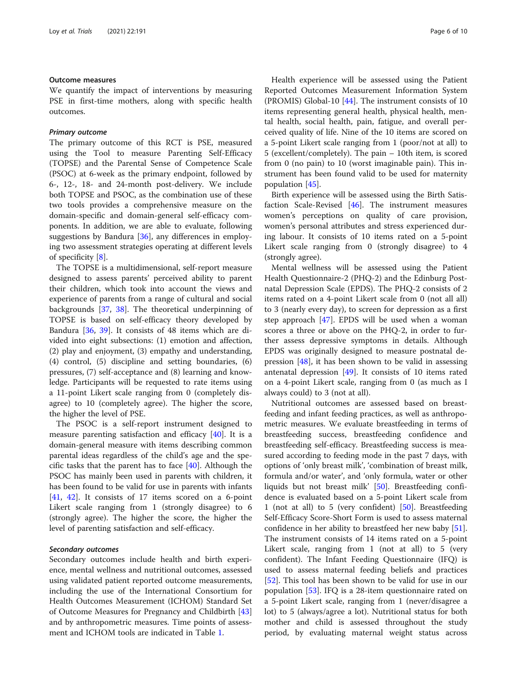#### Outcome measures

We quantify the impact of interventions by measuring PSE in first-time mothers, along with specific health outcomes.

#### Primary outcome

The primary outcome of this RCT is PSE, measured using the Tool to measure Parenting Self-Efficacy (TOPSE) and the Parental Sense of Competence Scale (PSOC) at 6-week as the primary endpoint, followed by 6-, 12-, 18- and 24-month post-delivery. We include both TOPSE and PSOC, as the combination use of these two tools provides a comprehensive measure on the domain-specific and domain-general self-efficacy components. In addition, we are able to evaluate, following suggestions by Bandura [\[36](#page-9-0)], any differences in employing two assessment strategies operating at different levels of specificity [[8\]](#page-8-0).

The TOPSE is a multidimensional, self-report measure designed to assess parents' perceived ability to parent their children, which took into account the views and experience of parents from a range of cultural and social backgrounds [[37,](#page-9-0) [38](#page-9-0)]. The theoretical underpinning of TOPSE is based on self-efficacy theory developed by Bandura [\[36](#page-9-0), [39](#page-9-0)]. It consists of 48 items which are divided into eight subsections: (1) emotion and affection, (2) play and enjoyment, (3) empathy and understanding, (4) control, (5) discipline and setting boundaries, (6) pressures, (7) self-acceptance and (8) learning and knowledge. Participants will be requested to rate items using a 11-point Likert scale ranging from 0 (completely disagree) to 10 (completely agree). The higher the score, the higher the level of PSE.

The PSOC is a self-report instrument designed to measure parenting satisfaction and efficacy [\[40](#page-9-0)]. It is a domain-general measure with items describing common parental ideas regardless of the child's age and the specific tasks that the parent has to face [\[40\]](#page-9-0). Although the PSOC has mainly been used in parents with children, it has been found to be valid for use in parents with infants [[41,](#page-9-0) [42](#page-9-0)]. It consists of 17 items scored on a 6-point Likert scale ranging from 1 (strongly disagree) to 6 (strongly agree). The higher the score, the higher the level of parenting satisfaction and self-efficacy.

#### Secondary outcomes

Secondary outcomes include health and birth experience, mental wellness and nutritional outcomes, assessed using validated patient reported outcome measurements, including the use of the International Consortium for Health Outcomes Measurement (ICHOM) Standard Set of Outcome Measures for Pregnancy and Childbirth [[43](#page-9-0)] and by anthropometric measures. Time points of assessment and ICHOM tools are indicated in Table [1](#page-4-0).

Health experience will be assessed using the Patient Reported Outcomes Measurement Information System (PROMIS) Global-10 [\[44](#page-9-0)]. The instrument consists of 10 items representing general health, physical health, mental health, social health, pain, fatigue, and overall perceived quality of life. Nine of the 10 items are scored on a 5-point Likert scale ranging from 1 (poor/not at all) to 5 (excellent/completely). The pain – 10th item, is scored from 0 (no pain) to 10 (worst imaginable pain). This instrument has been found valid to be used for maternity population [[45\]](#page-9-0).

Birth experience will be assessed using the Birth Satisfaction Scale-Revised [\[46](#page-9-0)]. The instrument measures women's perceptions on quality of care provision, women's personal attributes and stress experienced during labour. It consists of 10 items rated on a 5-point Likert scale ranging from 0 (strongly disagree) to 4 (strongly agree).

Mental wellness will be assessed using the Patient Health Questionnaire-2 (PHQ-2) and the Edinburg Postnatal Depression Scale (EPDS). The PHQ-2 consists of 2 items rated on a 4-point Likert scale from 0 (not all all) to 3 (nearly every day), to screen for depression as a first step approach [[47\]](#page-9-0). EPDS will be used when a woman scores a three or above on the PHQ-2, in order to further assess depressive symptoms in details. Although EPDS was originally designed to measure postnatal depression [\[48](#page-9-0)], it has been shown to be valid in assessing antenatal depression [[49](#page-9-0)]. It consists of 10 items rated on a 4-point Likert scale, ranging from 0 (as much as I always could) to 3 (not at all).

Nutritional outcomes are assessed based on breastfeeding and infant feeding practices, as well as anthropometric measures. We evaluate breastfeeding in terms of breastfeeding success, breastfeeding confidence and breastfeeding self-efficacy. Breastfeeding success is measured according to feeding mode in the past 7 days, with options of 'only breast milk', 'combination of breast milk, formula and/or water', and 'only formula, water or other liquids but not breast milk' [[50\]](#page-9-0). Breastfeeding confidence is evaluated based on a 5-point Likert scale from 1 (not at all) to 5 (very confident) [[50\]](#page-9-0). Breastfeeding Self-Efficacy Score-Short Form is used to assess maternal confidence in her ability to breastfeed her new baby [\[51](#page-9-0)]. The instrument consists of 14 items rated on a 5-point Likert scale, ranging from 1 (not at all) to 5 (very confident). The Infant Feeding Questionnaire (IFQ) is used to assess maternal feeding beliefs and practices [[52\]](#page-9-0). This tool has been shown to be valid for use in our population [\[53](#page-9-0)]. IFQ is a 28-item questionnaire rated on a 5-point Likert scale, ranging from 1 (never/disagree a lot) to 5 (always/agree a lot). Nutritional status for both mother and child is assessed throughout the study period, by evaluating maternal weight status across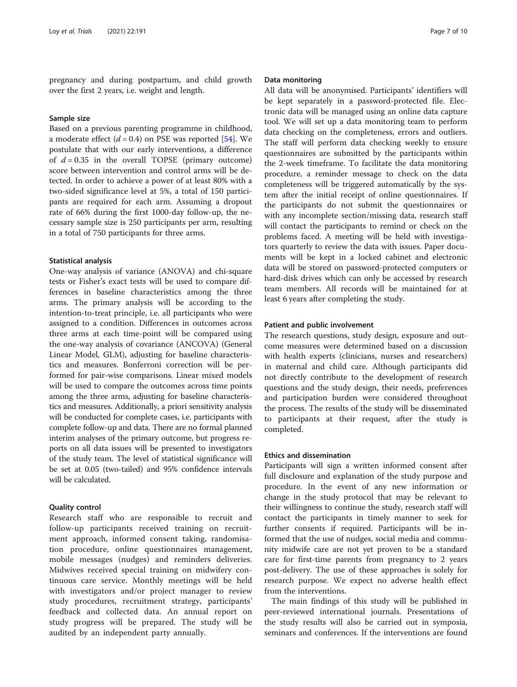pregnancy and during postpartum, and child growth over the first 2 years, i.e. weight and length.

#### Sample size

Based on a previous parenting programme in childhood, a moderate effect  $(d = 0.4)$  on PSE was reported [\[54\]](#page-9-0). We postulate that with our early interventions, a difference of  $d = 0.35$  in the overall TOPSE (primary outcome) score between intervention and control arms will be detected. In order to achieve a power of at least 80% with a two-sided significance level at 5%, a total of 150 participants are required for each arm. Assuming a dropout rate of 66% during the first 1000-day follow-up, the necessary sample size is 250 participants per arm, resulting in a total of 750 participants for three arms.

#### Statistical analysis

One-way analysis of variance (ANOVA) and chi-square tests or Fisher's exact tests will be used to compare differences in baseline characteristics among the three arms. The primary analysis will be according to the intention-to-treat principle, i.e. all participants who were assigned to a condition. Differences in outcomes across three arms at each time-point will be compared using the one-way analysis of covariance (ANCOVA) (General Linear Model, GLM), adjusting for baseline characteristics and measures. Bonferroni correction will be performed for pair-wise comparisons. Linear mixed models will be used to compare the outcomes across time points among the three arms, adjusting for baseline characteristics and measures. Additionally, a priori sensitivity analysis will be conducted for complete cases, i.e. participants with complete follow-up and data. There are no formal planned interim analyses of the primary outcome, but progress reports on all data issues will be presented to investigators of the study team. The level of statistical significance will be set at 0.05 (two-tailed) and 95% confidence intervals will be calculated.

#### Quality control

Research staff who are responsible to recruit and follow-up participants received training on recruitment approach, informed consent taking, randomisation procedure, online questionnaires management, mobile messages (nudges) and reminders deliveries. Midwives received special training on midwifery continuous care service. Monthly meetings will be held with investigators and/or project manager to review study procedures, recruitment strategy, participants' feedback and collected data. An annual report on study progress will be prepared. The study will be audited by an independent party annually.

#### Data monitoring

All data will be anonymised. Participants' identifiers will be kept separately in a password-protected file. Electronic data will be managed using an online data capture tool. We will set up a data monitoring team to perform data checking on the completeness, errors and outliers. The staff will perform data checking weekly to ensure questionnaires are submitted by the participants within the 2-week timeframe. To facilitate the data monitoring procedure, a reminder message to check on the data completeness will be triggered automatically by the system after the initial receipt of online questionnaires. If the participants do not submit the questionnaires or with any incomplete section/missing data, research staff will contact the participants to remind or check on the problems faced. A meeting will be held with investigators quarterly to review the data with issues. Paper documents will be kept in a locked cabinet and electronic data will be stored on password-protected computers or hard-disk drives which can only be accessed by research team members. All records will be maintained for at least 6 years after completing the study.

#### Patient and public involvement

The research questions, study design, exposure and outcome measures were determined based on a discussion with health experts (clinicians, nurses and researchers) in maternal and child care. Although participants did not directly contribute to the development of research questions and the study design, their needs, preferences and participation burden were considered throughout the process. The results of the study will be disseminated to participants at their request, after the study is completed.

#### Ethics and dissemination

Participants will sign a written informed consent after full disclosure and explanation of the study purpose and procedure. In the event of any new information or change in the study protocol that may be relevant to their willingness to continue the study, research staff will contact the participants in timely manner to seek for further consents if required. Participants will be informed that the use of nudges, social media and community midwife care are not yet proven to be a standard care for first-time parents from pregnancy to 2 years post-delivery. The use of these approaches is solely for research purpose. We expect no adverse health effect from the interventions.

The main findings of this study will be published in peer-reviewed international journals. Presentations of the study results will also be carried out in symposia, seminars and conferences. If the interventions are found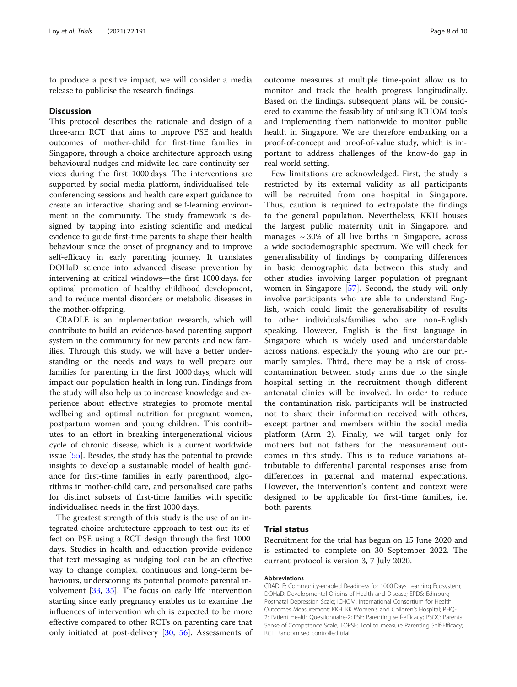to produce a positive impact, we will consider a media release to publicise the research findings.

#### **Discussion**

This protocol describes the rationale and design of a three-arm RCT that aims to improve PSE and health outcomes of mother-child for first-time families in Singapore, through a choice architecture approach using behavioural nudges and midwife-led care continuity services during the first 1000 days. The interventions are supported by social media platform, individualised teleconferencing sessions and health care expert guidance to create an interactive, sharing and self-learning environment in the community. The study framework is designed by tapping into existing scientific and medical evidence to guide first-time parents to shape their health behaviour since the onset of pregnancy and to improve self-efficacy in early parenting journey. It translates DOHaD science into advanced disease prevention by intervening at critical windows—the first 1000 days, for optimal promotion of healthy childhood development, and to reduce mental disorders or metabolic diseases in the mother-offspring.

CRADLE is an implementation research, which will contribute to build an evidence-based parenting support system in the community for new parents and new families. Through this study, we will have a better understanding on the needs and ways to well prepare our families for parenting in the first 1000 days, which will impact our population health in long run. Findings from the study will also help us to increase knowledge and experience about effective strategies to promote mental wellbeing and optimal nutrition for pregnant women, postpartum women and young children. This contributes to an effort in breaking intergenerational vicious cycle of chronic disease, which is a current worldwide issue [[55\]](#page-9-0). Besides, the study has the potential to provide insights to develop a sustainable model of health guidance for first-time families in early parenthood, algorithms in mother-child care, and personalised care paths for distinct subsets of first-time families with specific individualised needs in the first 1000 days.

The greatest strength of this study is the use of an integrated choice architecture approach to test out its effect on PSE using a RCT design through the first 1000 days. Studies in health and education provide evidence that text messaging as nudging tool can be an effective way to change complex, continuous and long-term behaviours, underscoring its potential promote parental involvement [[33,](#page-9-0) [35\]](#page-9-0). The focus on early life intervention starting since early pregnancy enables us to examine the influences of intervention which is expected to be more effective compared to other RCTs on parenting care that only initiated at post-delivery [[30,](#page-9-0) [56](#page-9-0)]. Assessments of

outcome measures at multiple time-point allow us to monitor and track the health progress longitudinally. Based on the findings, subsequent plans will be considered to examine the feasibility of utilising ICHOM tools and implementing them nationwide to monitor public health in Singapore. We are therefore embarking on a proof-of-concept and proof-of-value study, which is important to address challenges of the know-do gap in real-world setting.

Few limitations are acknowledged. First, the study is restricted by its external validity as all participants will be recruited from one hospital in Singapore. Thus, caution is required to extrapolate the findings to the general population. Nevertheless, KKH houses the largest public maternity unit in Singapore, and manages  $\sim$  30% of all live births in Singapore, across a wide sociodemographic spectrum. We will check for generalisability of findings by comparing differences in basic demographic data between this study and other studies involving larger population of pregnant women in Singapore [[57\]](#page-9-0). Second, the study will only involve participants who are able to understand English, which could limit the generalisability of results to other individuals/families who are non-English speaking. However, English is the first language in Singapore which is widely used and understandable across nations, especially the young who are our primarily samples. Third, there may be a risk of crosscontamination between study arms due to the single hospital setting in the recruitment though different antenatal clinics will be involved. In order to reduce the contamination risk, participants will be instructed not to share their information received with others, except partner and members within the social media platform (Arm 2). Finally, we will target only for mothers but not fathers for the measurement outcomes in this study. This is to reduce variations attributable to differential parental responses arise from differences in paternal and maternal expectations. However, the intervention's content and context were designed to be applicable for first-time families, i.e. both parents.

#### Trial status

Recruitment for the trial has begun on 15 June 2020 and is estimated to complete on 30 September 2022. The current protocol is version 3, 7 July 2020.

#### Abbreviations

CRADLE: Community-enabled Readiness for 1000 Days Learning Ecosystem; DOHaD: Developmental Origins of Health and Disease; EPDS: Edinburg Postnatal Depression Scale; ICHOM: International Consortium for Health Outcomes Measurement; KKH: KK Women's and Children's Hospital; PHQ-2: Patient Health Questionnaire-2; PSE: Parenting self-efficacy; PSOC: Parental Sense of Competence Scale; TOPSE: Tool to measure Parenting Self-Efficacy; RCT: Randomised controlled trial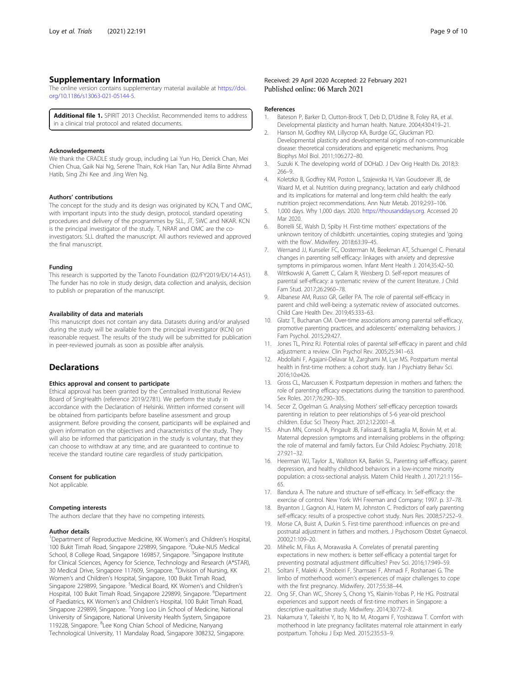#### <span id="page-8-0"></span>Supplementary Information

The online version contains supplementary material available at [https://doi.](https://doi.org/10.1186/s13063-021-05144-5) [org/10.1186/s13063-021-05144-5.](https://doi.org/10.1186/s13063-021-05144-5)

Additional file 1. SPIRIT 2013 Checklist. Recommended items to address in a clinical trial protocol and related documents.

#### Acknowledgements

We thank the CRADLE study group, including Lai Yun Ho, Derrick Chan, Mei Chien Chua, Gaik Nai Ng, Serene Thain, Kok Hian Tan, Nur Adila Binte Ahmad Hatib, Sing Zhi Kee and Jing Wen Ng.

#### Authors' contributions

The concept for the study and its design was originated by KCN, T and OMC, with important inputs into the study design, protocol, standard operating procedures and delivery of the programmes by SLL, JT, SWC and NKAR. KCN is the principal investigator of the study. T, NRAR and OMC are the coinvestigators. SLL drafted the manuscript. All authors reviewed and approved the final manuscript.

#### Funding

This research is supported by the Tanoto Foundation (02/FY2019/EX/14-A51). The funder has no role in study design, data collection and analysis, decision to publish or preparation of the manuscript.

#### Availability of data and materials

This manuscript does not contain any data. Datasets during and/or analysed during the study will be available from the principal investigator (KCN) on reasonable request. The results of the study will be submitted for publication in peer-reviewed journals as soon as possible after analysis.

#### **Declarations**

#### Ethics approval and consent to participate

Ethical approval has been granted by the Centralised Institutional Review Board of SingHealth (reference 2019/2781). We perform the study in accordance with the Declaration of Helsinki. Written informed consent will be obtained from participants before baseline assessment and group assignment. Before providing the consent, participants will be explained and given information on the objectives and characteristics of the study. They will also be informed that participation in the study is voluntary, that they can choose to withdraw at any time, and are guaranteed to continue to receive the standard routine care regardless of study participation.

#### Consent for publication

Not applicable.

#### Competing interests

The authors declare that they have no competing interests.

#### Author details

<sup>1</sup>Department of Reproductive Medicine, KK Women's and Children's Hospital, 100 Bukit Timah Road, Singapore 229899, Singapore. <sup>2</sup>Duke-NUS Medical School, 8 College Road, Singapore 169857, Singapore. <sup>3</sup>Singapore Institute for Clinical Sciences, Agency for Science, Technology and Research (A\*STAR), 30 Medical Drive, Singapore 117609, Singapore. <sup>4</sup>Division of Nursing, KK Women's and Children's Hospital, Singapore, 100 Bukit Timah Road, Singapore 229899, Singapore. <sup>5</sup>Medical Board, KK Women's and Children's Hospital, 100 Bukit Timah Road, Singapore 229899, Singapore. <sup>6</sup>Department of Paediatrics, KK Women's and Children's Hospital, 100 Bukit Timah Road, Singapore 229899, Singapore. <sup>7</sup>Yong Loo Lin School of Medicine, National University of Singapore, National University Health System, Singapore 119228, Singapore. <sup>8</sup>Lee Kong Chian School of Medicine, Nanyang Technological University, 11 Mandalay Road, Singapore 308232, Singapore.

#### References

- 1. Bateson P, Barker D, Clutton-Brock T, Deb D, D'Udine B, Foley RA, et al. Developmental plasticity and human health. Nature. 2004;430:419–21.
- 2. Hanson M, Godfrey KM, Lillycrop KA, Burdge GC, Gluckman PD. Developmental plasticity and developmental origins of non-communicable disease: theoretical considerations and epigenetic mechanisms. Prog Biophys Mol Biol. 2011;106:272–80.
- 3. Suzuki K. The developing world of DOHaD. J Dev Orig Health Dis. 2018;3: 266–9.
- 4. Koletzko B, Godfrey KM, Poston L, Szajewska H, Van Goudoever JB, de Waard M, et al. Nutrition during pregnancy, lactation and early childhood and its implications for maternal and long-term child health: the early nutrition project recommendations. Ann Nutr Metab. 2019;2:93–106.
- 5. 1,000 days. Why 1,000 days. 2020. [https://thousanddays.org.](https://thousanddays.org) Accessed 20 Mar 2020.
- 6. Borrelli SE, Walsh D, Spiby H. First-time mothers' expectations of the unknown territory of childbirth: uncertainties, coping strategies and 'going with the flow'. Midwifery. 2018;63:39–45.
- 7. Wernand JJ, Kunseler FC, Oosterman M, Beekman AT, Schuengel C. Prenatal changes in parenting self-efficacy: linkages with anxiety and depressive symptoms in primiparous women. Infant Ment Health J. 2014;35:42–50.
- 8. Wittkowski A, Garrett C, Calam R, Weisberg D. Self-report measures of parental self-efficacy: a systematic review of the current literature. J Child Fam Stud. 2017;26:2960–78.
- 9. Albanese AM, Russo GR, Geller PA. The role of parental self-efficacy in parent and child well-being: a systematic review of associated outcomes. Child Care Health Dev. 2019;45:333–63.
- 10. Glatz T, Buchanan CM. Over-time associations among parental self-efficacy, promotive parenting practices, and adolescents' externalizing behaviors. J Fam Psychol. 2015;29:427.
- 11. Jones TL, Prinz RJ. Potential roles of parental self-efficacy in parent and child adjustment: a review. Clin Psychol Rev. 2005;25:341–63.
- 12. Abdollahi F, Agajani-Delavar M, Zarghami M, Lye MS. Postpartum mental health in first-time mothers: a cohort study. Iran J Psychiatry Behav Sci. 2016;10:e426.
- 13. Gross CL, Marcussen K. Postpartum depression in mothers and fathers: the role of parenting efficacy expectations during the transition to parenthood. Sex Roles. 2017;76:290–305.
- 14. Secer Z, Ogelman G. Analysing Mothers' self-efficacy perception towards parenting in relation to peer relationships of 5-6 year-old preschool children. Educ Sci Theory Pract. 2012;12:2001–8.
- 15. Ahun MN, Consoli A, Pingault JB, Falissard B, Battaglia M, Boivin M, et al. Maternal depression symptoms and internalising problems in the offspring: the role of maternal and family factors. Eur Child Adolesc Psychiatry. 2018; 27:921–32.
- 16. Heerman WJ, Taylor JL, Wallston KA, Barkin SL. Parenting self-efficacy, parent depression, and healthy childhood behaviors in a low-income minority population: a cross-sectional analysis. Matern Child Health J. 2017;21:1156– 65.
- 17. Bandura A. The nature and structure of self-efficacy. In: Self-efficacy: the exercise of control. New York: WH Freeman and Company; 1997. p. 37–78.
- 18. Bryanton J, Gagnon AJ, Hatem M, Johnston C. Predictors of early parenting self-efficacy: results of a prospective cohort study. Nurs Res. 2008;57:252–9.
- 19. Morse CA, Buist A, Durkin S. First-time parenthood: influences on pre-and postnatal adjustment in fathers and mothers. J Psychosom Obstet Gynaecol. 2000;21:109–20.
- 20. Mihelic M, Filus A, Morawaska A. Correlates of prenatal parenting expectations in new mothers: is better self-efficacy a potential target for preventing postnatal adjustment difficulties? Prev Sci. 2016;17:949–59.
- 21. Soltani F, Maleki A, Shobeiri F, Shamsaei F, Ahmadi F, Roshanaei G. The limbo of motherhood: women's experiences of major challenges to cope with the first pregnancy. Midwifery. 2017;55:38–44.
- 22. Ong SF, Chan WC, Shorey S, Chong YS, Klainin-Yobas P, He HG. Postnatal experiences and support needs of first-time mothers in Singapore: a descriptive qualitative study. Midwifery. 2014;30:772–8.
- 23. Nakamura Y, Takeishi Y, Ito N, Ito M, Atogami F, Yoshizawa T. Comfort with motherhood in late pregnancy facilitates maternal role attainment in early postpartum. Tohoku J Exp Med. 2015;235:53–9.